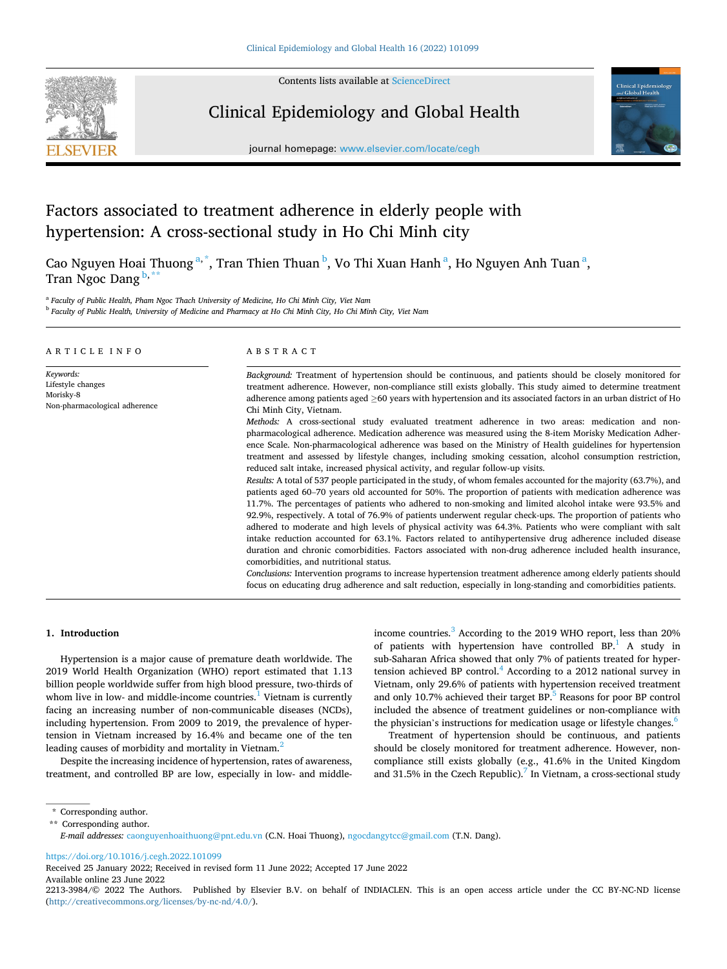

Contents lists available at [ScienceDirect](www.sciencedirect.com/science/journal/22133984)

# Clinical Epidemiology and Global Health



journal homepage: [www.elsevier.com/locate/cegh](https://www.elsevier.com/locate/cegh)

# Factors associated to treatment adherence in elderly people with hypertension: A cross-sectional study in Ho Chi Minh city

Cao Nguyen Hoai Thuong <sup>a,\*</sup>, Tran Thien Thuan <sup>b</sup>, Vo Thi Xuan Hanh <sup>a</sup>, Ho Nguyen Anh Tuan <sup>a</sup>, Tran Ngoc Dang  $\frac{b}{r}$ 

<sup>a</sup> *Faculty of Public Health, Pham Ngoc Thach University of Medicine, Ho Chi Minh City, Viet Nam* 

<sup>b</sup> *Faculty of Public Health, University of Medicine and Pharmacy at Ho Chi Minh City, Ho Chi Minh City, Viet Nam* 

|                                                                              | Background: Treatment of hypertension should be continuous, and patients should be closely monitored for                                                                                                                                                                                                                                                                                                                                                                                                                                                                                                                                                                                                                                                                                                                                                                                                                                                                                                                                                                                                                                                                                                                                                                                                                                                                                                                                                                                                                                                                                                                                                                                                                                                                                                                                                                      |
|------------------------------------------------------------------------------|-------------------------------------------------------------------------------------------------------------------------------------------------------------------------------------------------------------------------------------------------------------------------------------------------------------------------------------------------------------------------------------------------------------------------------------------------------------------------------------------------------------------------------------------------------------------------------------------------------------------------------------------------------------------------------------------------------------------------------------------------------------------------------------------------------------------------------------------------------------------------------------------------------------------------------------------------------------------------------------------------------------------------------------------------------------------------------------------------------------------------------------------------------------------------------------------------------------------------------------------------------------------------------------------------------------------------------------------------------------------------------------------------------------------------------------------------------------------------------------------------------------------------------------------------------------------------------------------------------------------------------------------------------------------------------------------------------------------------------------------------------------------------------------------------------------------------------------------------------------------------------|
| Keywords:<br>Lifestyle changes<br>Morisky-8<br>Non-pharmacological adherence | treatment adherence. However, non-compliance still exists globally. This study aimed to determine treatment<br>adherence among patients aged $\geq 60$ years with hypertension and its associated factors in an urban district of Ho<br>Chi Minh City, Vietnam.<br>Methods: A cross-sectional study evaluated treatment adherence in two areas: medication and non-<br>pharmacological adherence. Medication adherence was measured using the 8-item Morisky Medication Adher-<br>ence Scale. Non-pharmacological adherence was based on the Ministry of Health guidelines for hypertension<br>treatment and assessed by lifestyle changes, including smoking cessation, alcohol consumption restriction,<br>reduced salt intake, increased physical activity, and regular follow-up visits.<br>Results: A total of 537 people participated in the study, of whom females accounted for the majority (63.7%), and<br>patients aged 60–70 years old accounted for 50%. The proportion of patients with medication adherence was<br>11.7%. The percentages of patients who adhered to non-smoking and limited alcohol intake were 93.5% and<br>92.9%, respectively. A total of 76.9% of patients underwent regular check-ups. The proportion of patients who<br>adhered to moderate and high levels of physical activity was 64.3%. Patients who were compliant with salt<br>intake reduction accounted for 63.1%. Factors related to antihypertensive drug adherence included disease<br>duration and chronic comorbidities. Factors associated with non-drug adherence included health insurance,<br>comorbidities, and nutritional status.<br>Conclusions: Intervention programs to increase hypertension treatment adherence among elderly patients should<br>focus on educating drug adherence and salt reduction, especially in long-standing and comorbidities patients. |

# **1. Introduction**

Hypertension is a major cause of premature death worldwide. The 2019 World Health Organization (WHO) report estimated that 1.13 billion people worldwide suffer from high blood pressure, two-thirds of whom live in low- and middle-income countries. $<sup>1</sup>$  Vietnam is currently</sup> facing an increasing number of non-communicable diseases (NCDs), including hypertension. From 2009 to 2019, the prevalence of hypertension in Vietnam increased by 16.4% and became one of the ten leading causes of morbidity and mortality in Vietnam.<sup>2</sup>

Despite the increasing incidence of hypertension, rates of awareness, treatment, and controlled BP are low, especially in low- and middleincome countries.<sup>3</sup> According to the 2019 WHO report, less than 20% of patients with hypertension have controlled BP.<sup>1</sup> A study in sub-Saharan Africa showed that only 7% of patients treated for hypertension achieved BP control.<sup>4</sup> According to a 2012 national survey in Vietnam, only 29.6% of patients with hypertension received treatment and only 10.7% achieved their target  $BP$ <sup>5</sup> Reasons for poor  $BP$  control included the absence of treatment guidelines or non-compliance with the physician's instructions for medication usage or lifestyle changes.<sup>6</sup>

Treatment of hypertension should be continuous, and patients should be closely monitored for treatment adherence. However, noncompliance still exists globally (e.g., 41.6% in the United Kingdom and 31.5% in the Czech Republic).<sup>7</sup> In Vietnam, a cross-sectional study

<https://doi.org/10.1016/j.cegh.2022.101099>

Available online 23 June 2022 Received 25 January 2022; Received in revised form 11 June 2022; Accepted 17 June 2022

<sup>\*</sup> Corresponding author.

<sup>\*\*</sup> Corresponding author.

*E-mail addresses:* [caonguyenhoaithuong@pnt.edu.vn](mailto:caonguyenhoaithuong@pnt.edu.vn) (C.N. Hoai Thuong), [ngocdangytcc@gmail.com](mailto:ngocdangytcc@gmail.com) (T.N. Dang).

<sup>2213-3984/© 2022</sup> The Authors. Published by Elsevier B.V. on behalf of INDIACLEN. This is an open access article under the CC BY-NC-ND license [\(http://creativecommons.org/licenses/by-nc-nd/4.0/\)](http://creativecommons.org/licenses/by-nc-nd/4.0/).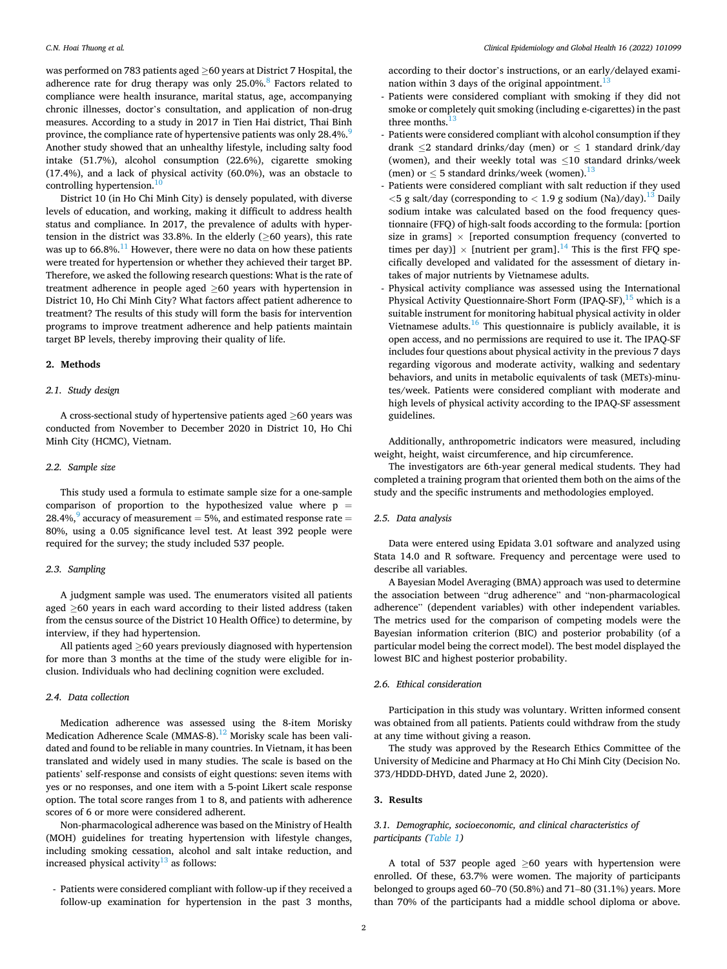was performed on 783 patients aged ≥60 years at District 7 Hospital, the adherence rate for drug therapy was only  $25.0\%$ .<sup>8</sup> Factors related to compliance were health insurance, marital status, age, accompanying chronic illnesses, doctor's consultation, and application of non-drug measures. According to a study in 2017 in Tien Hai district, Thai Binh province, the compliance rate of hypertensive patients was only 28.4%.<sup>9</sup> Another study showed that an unhealthy lifestyle, including salty food intake (51.7%), alcohol consumption (22.6%), cigarette smoking (17.4%), and a lack of physical activity (60.0%), was an obstacle to controlling hypertension.<sup>[10](#page-5-0)</sup>

District 10 (in Ho Chi Minh City) is densely populated, with diverse levels of education, and working, making it difficult to address health status and compliance. In 2017, the prevalence of adults with hypertension in the district was 33.8%. In the elderly ( $\geq$ 60 years), this rate was up to  $66.8\%$ .<sup>11</sup> However, there were no data on how these patients were treated for hypertension or whether they achieved their target BP. Therefore, we asked the following research questions: What is the rate of treatment adherence in people aged ≥60 years with hypertension in District 10, Ho Chi Minh City? What factors affect patient adherence to treatment? The results of this study will form the basis for intervention programs to improve treatment adherence and help patients maintain target BP levels, thereby improving their quality of life.

## **2. Methods**

# *2.1. Study design*

A cross-sectional study of hypertensive patients aged ≥60 years was conducted from November to December 2020 in District 10, Ho Chi Minh City (HCMC), Vietnam.

#### *2.2. Sample size*

This study used a formula to estimate sample size for a one-sample comparison of proportion to the hypothesized value where  $p =$ 28.4%,<sup>9</sup> accuracy of measurement  $=$  [5%, and estimated response rate](#page-5-0)  $=$ 80%, using a 0.05 significance level test. At least 392 people were required for the survey; the study included 537 people.

## *2.3. Sampling*

A judgment sample was used. The enumerators visited all patients aged ≥60 years in each ward according to their listed address (taken from the census source of the District 10 Health Office) to determine, by interview, if they had hypertension.

All patients aged ≥60 years previously diagnosed with hypertension for more than 3 months at the time of the study were eligible for inclusion. Individuals who had declining cognition were excluded.

#### *2.4. Data collection*

Medication adherence was assessed using the 8-item Morisky Medication Adherence Scale (MMAS-8).<sup>12</sup> Morisky scale has been validated and found to be reliable in many countries. In Vietnam, it has been translated and widely used in many studies. The scale is based on the patients' self-response and consists of eight questions: seven items with yes or no responses, and one item with a 5-point Likert scale response option. The total score ranges from 1 to 8, and patients with adherence scores of 6 or more were considered adherent.

Non-pharmacological adherence was based on the Ministry of Health (MOH) guidelines for treating hypertension with lifestyle changes, including smoking cessation, alcohol and salt intake reduction, and increased physical activity $13$  as follows:

- Patients were considered compliant with follow-up if they received a follow-up examination for hypertension in the past 3 months,

according to their doctor's instructions, or an early/delayed examination within 3 days of the original appointment.<sup>1</sup>

- Patients were considered compliant with smoking if they did not smoke or completely quit smoking (including e-cigarettes) in the past three months. $<sup>1</sup>$ </sup>
- Patients were considered compliant with alcohol consumption if they drank  $\leq$ 2 standard drinks/day (men) or  $\leq$  1 standard drink/day (women), and their weekly total was ≤10 standard drinks/week (men) or  $\leq$  5 standard drinks/week (women).<sup>13</sup>
- Patients were considered compliant with salt reduction if they used *<*5 g salt/day (corresponding to *<* 1.9 g sodium (Na)/day).[13 Daily](#page-5-0)  sodium intake was calculated based on the food frequency questionnaire (FFQ) of high-salt foods according to the formula: [portion size in grams]  $\times$  [reported consumption frequency (converted to times per day)]  $\times$  [nutrient per gram].<sup>14</sup> This is the first FFQ specifically developed and validated for the assessment of dietary intakes of major nutrients by Vietnamese adults.
- Physical activity compliance was assessed using the International Physical Activity Questionnaire-Short Form (IPAQ-SF), $^{15}$  which is a suitable instrument for monitoring habitual physical activity in older Vietnamese adults. $16$  This questionnaire is publicly available, it is open access, and no permissions are required to use it. The IPAQ-SF includes four questions about physical activity in the previous 7 days regarding vigorous and moderate activity, walking and sedentary behaviors, and units in metabolic equivalents of task (METs)-minutes/week. Patients were considered compliant with moderate and high levels of physical activity according to the IPAQ-SF assessment guidelines.

Additionally, anthropometric indicators were measured, including weight, height, waist circumference, and hip circumference.

The investigators are 6th-year general medical students. They had completed a training program that oriented them both on the aims of the study and the specific instruments and methodologies employed.

# *2.5. Data analysis*

Data were entered using Epidata 3.01 software and analyzed using Stata 14.0 and R software. Frequency and percentage were used to describe all variables.

A Bayesian Model Averaging (BMA) approach was used to determine the association between "drug adherence" and "non-pharmacological adherence" (dependent variables) with other independent variables. The metrics used for the comparison of competing models were the Bayesian information criterion (BIC) and posterior probability (of a particular model being the correct model). The best model displayed the lowest BIC and highest posterior probability.

# *2.6. Ethical consideration*

Participation in this study was voluntary. Written informed consent was obtained from all patients. Patients could withdraw from the study at any time without giving a reason.

The study was approved by the Research Ethics Committee of the University of Medicine and Pharmacy at Ho Chi Minh City (Decision No. 373/HDDD-DHYD, dated June 2, 2020).

# **3. Results**

## *3.1. Demographic, socioeconomic, and clinical characteristics of participants [\(Table 1\)](#page-2-0)*

A total of 537 people aged  $\geq 60$  years with hypertension were enrolled. Of these, 63.7% were women. The majority of participants belonged to groups aged 60–70 (50.8%) and 71–80 (31.1%) years. More than 70% of the participants had a middle school diploma or above.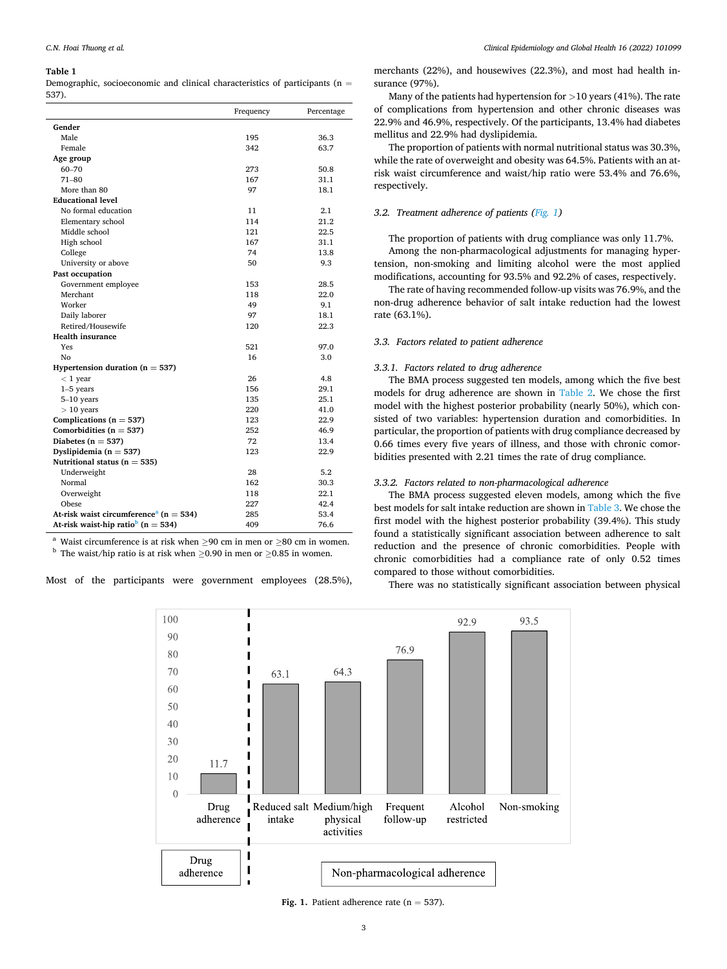#### <span id="page-2-0"></span>**Table 1**

Demographic, socioeconomic and clinical characteristics of participants ( $n =$ 537).

|                                                        | Frequency | Percentage |
|--------------------------------------------------------|-----------|------------|
| Gender                                                 |           |            |
| Male                                                   | 195       | 36.3       |
| Female                                                 | 342       | 63.7       |
| Age group                                              |           |            |
| 60-70                                                  | 273       | 50.8       |
| $71 - 80$                                              | 167       | 31.1       |
| More than 80                                           | 97        | 18.1       |
| <b>Educational level</b>                               |           |            |
| No formal education                                    | 11        | 2.1        |
| Elementary school                                      | 114       | 21.2       |
| Middle school                                          | 121       | 22.5       |
| High school                                            | 167       | 31.1       |
| College                                                | 74        | 13.8       |
| University or above                                    | 50        | 9.3        |
| Past occupation                                        |           |            |
| Government employee                                    | 153       | 28.5       |
| Merchant                                               | 118       | 22.0       |
| Worker                                                 | 49        | 9.1        |
| Daily laborer                                          | 97        | 18.1       |
| Retired/Housewife                                      | 120       | 22.3       |
| <b>Health insurance</b>                                |           |            |
| Yes                                                    | 521       | 97.0       |
| No                                                     | 16        | 3.0        |
| Hypertension duration ( $n = 537$ )                    |           |            |
| $<$ 1 year                                             | 26        | 4.8        |
| $1-5$ years                                            | 156       | 29.1       |
| $5-10$ years                                           | 135       | 25.1       |
| $> 10$ years                                           | 220       | 41.0       |
| Complications ( $n = 537$ )                            | 123       | 22.9       |
| Comorbidities ( $n = 537$ )                            | 252       | 46.9       |
| Diabetes ( $n = 537$ )                                 | 72        | 13.4       |
| Dyslipidemia ( $n = 537$ )                             | 123       | 22.9       |
| Nutritional status ( $n = 535$ )                       |           |            |
| Underweight                                            | 28        | 5.2        |
| Normal                                                 | 162       | 30.3       |
| Overweight                                             | 118       | 22.1       |
| Obese                                                  | 227       | 42.4       |
| At-risk waist circumference <sup>a</sup> ( $n = 534$ ) | 285       | 53.4       |
| At-risk waist-hip ratio <sup>b</sup> (n = 534)         | 409       | 76.6       |

<sup>a</sup> Waist circumference is at risk when ≥90 cm in men or ≥80 cm in women. <sup>b</sup> The waist/hip ratio is at risk when >0.90 in men or >0.85 in women.

Most of the participants were government employees (28.5%),

*Clinical Epidemiology and Global Health 16 (2022) 101099*

merchants (22%), and housewives (22.3%), and most had health insurance (97%).

Many of the patients had hypertension for *>*10 years (41%). The rate of complications from hypertension and other chronic diseases was 22.9% and 46.9%, respectively. Of the participants, 13.4% had diabetes mellitus and 22.9% had dyslipidemia.

The proportion of patients with normal nutritional status was 30.3%, while the rate of overweight and obesity was 64.5%. Patients with an atrisk waist circumference and waist/hip ratio were 53.4% and 76.6%, respectively.

# *3.2. Treatment adherence of patients (Fig. 1)*

The proportion of patients with drug compliance was only 11.7%. Among the non-pharmacological adjustments for managing hypertension, non-smoking and limiting alcohol were the most applied modifications, accounting for 93.5% and 92.2% of cases, respectively.

The rate of having recommended follow-up visits was 76.9%, and the non-drug adherence behavior of salt intake reduction had the lowest rate (63.1%).

## *3.3. Factors related to patient adherence*

## *3.3.1. Factors related to drug adherence*

The BMA process suggested ten models, among which the five best models for drug adherence are shown in [Table 2.](#page-3-0) We chose the first model with the highest posterior probability (nearly 50%), which consisted of two variables: hypertension duration and comorbidities. In particular, the proportion of patients with drug compliance decreased by 0.66 times every five years of illness, and those with chronic comorbidities presented with 2.21 times the rate of drug compliance.

# *3.3.2. Factors related to non-pharmacological adherence*

The BMA process suggested eleven models, among which the five best models for salt intake reduction are shown in [Table 3.](#page-3-0) We chose the first model with the highest posterior probability (39.4%). This study found a statistically significant association between adherence to salt reduction and the presence of chronic comorbidities. People with chronic comorbidities had a compliance rate of only 0.52 times compared to those without comorbidities.

There was no statistically significant association between physical



**Fig. 1.** Patient adherence rate  $(n = 537)$ .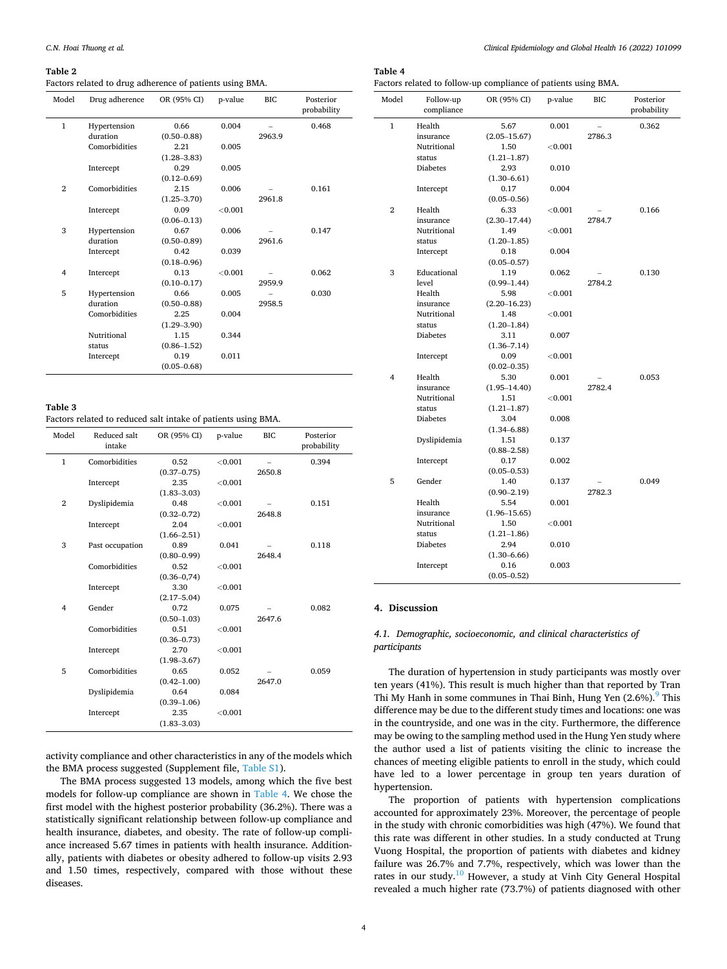#### <span id="page-3-0"></span>**Table 2**

Factors related to drug adherence of patients using BMA.

| Model          | Drug adherence | OR (95% CI)     | p-value    | <b>BIC</b> | Posterior<br>probability |
|----------------|----------------|-----------------|------------|------------|--------------------------|
| $\mathbf{1}$   | Hypertension   | 0.66            | 0.004      |            | 0.468                    |
|                | duration       | $(0.50 - 0.88)$ |            | 2963.9     |                          |
|                | Comorbidities  | 2.21            | 0.005      |            |                          |
|                |                | $(1.28 - 3.83)$ |            |            |                          |
|                | Intercept      | 0.29            | 0.005      |            |                          |
|                |                | $(0.12 - 0.69)$ |            |            |                          |
| $\overline{2}$ | Comorbidities  | 2.15            | 0.006      |            | 0.161                    |
|                |                | $(1.25 - 3.70)$ |            | 2961.8     |                          |
|                | Intercept      | 0.09            | ${<}0.001$ |            |                          |
|                |                | $(0.06 - 0.13)$ |            |            |                          |
| 3              | Hypertension   | 0.67            | 0.006      |            | 0.147                    |
|                | duration       | $(0.50 - 0.89)$ |            | 2961.6     |                          |
|                | Intercept      | 0.42            | 0.039      |            |                          |
|                |                | $(0.18 - 0.96)$ |            |            |                          |
| 4              | Intercept      | 0.13            | < 0.001    |            | 0.062                    |
|                |                | $(0.10 - 0.17)$ |            | 2959.9     |                          |
| 5              | Hypertension   | 0.66            | 0.005      |            | 0.030                    |
|                | duration       | $(0.50 - 0.88)$ |            | 2958.5     |                          |
|                | Comorbidities  | 2.25            | 0.004      |            |                          |
|                |                | $(1.29 - 3.90)$ |            |            |                          |
|                | Nutritional    | 1.15            | 0.344      |            |                          |
|                | status         | $(0.86 - 1.52)$ |            |            |                          |
|                | Intercept      | 0.19            | 0.011      |            |                          |
|                |                | $(0.05 - 0.68)$ |            |            |                          |

## **Table 3**

Factors related to reduced salt intake of patients using BMA.

| Model          | Reduced salt<br>intake | OR (95% CI)     | p-value | BIC.   | Posterior<br>probability |
|----------------|------------------------|-----------------|---------|--------|--------------------------|
| $\mathbf{1}$   | Comorbidities          | 0.52            | < 0.001 |        | 0.394                    |
|                |                        | $(0.37 - 0.75)$ |         | 2650.8 |                          |
|                | Intercept              | 2.35            | < 0.001 |        |                          |
|                |                        | $(1.83 - 3.03)$ |         |        |                          |
| $\overline{2}$ | Dyslipidemia           | 0.48            | < 0.001 |        | 0.151                    |
|                |                        | $(0.32 - 0.72)$ |         | 2648.8 |                          |
|                | Intercept              | 2.04            | < 0.001 |        |                          |
|                |                        | $(1.66 - 2.51)$ |         |        |                          |
| 3              | Past occupation        | 0.89            | 0.041   |        | 0.118                    |
|                |                        | $(0.80 - 0.99)$ |         | 2648.4 |                          |
|                | Comorbidities          | 0.52            | < 0.001 |        |                          |
|                |                        | $(0.36 - 0.74)$ |         |        |                          |
|                | Intercept              | 3.30            | < 0.001 |        |                          |
|                |                        | $(2.17 - 5.04)$ |         |        |                          |
| $\overline{4}$ | Gender                 | 0.72            | 0.075   |        | 0.082                    |
|                |                        | $(0.50 - 1.03)$ |         | 2647.6 |                          |
|                | Comorbidities          | 0.51            | < 0.001 |        |                          |
|                |                        | $(0.36 - 0.73)$ |         |        |                          |
|                | Intercept              | 2.70            | < 0.001 |        |                          |
|                |                        | $(1.98 - 3.67)$ |         |        |                          |
| 5              | Comorbidities          | 0.65            | 0.052   |        | 0.059                    |
|                |                        | $(0.42 - 1.00)$ |         | 2647.0 |                          |
|                | Dyslipidemia           | 0.64            | 0.084   |        |                          |
|                |                        | $(0.39 - 1.06)$ |         |        |                          |
|                | Intercept              | 2.35            | < 0.001 |        |                          |
|                |                        | $(1.83 - 3.03)$ |         |        |                          |

activity compliance and other characteristics in any of the models which the BMA process suggested (Supplement file, Table S1).

The BMA process suggested 13 models, among which the five best models for follow-up compliance are shown in Table 4. We chose the first model with the highest posterior probability (36.2%). There was a statistically significant relationship between follow-up compliance and health insurance, diabetes, and obesity. The rate of follow-up compliance increased 5.67 times in patients with health insurance. Additionally, patients with diabetes or obesity adhered to follow-up visits 2.93 and 1.50 times, respectively, compared with those without these diseases.

# **Table 4**

Factors related to follow-up compliance of patients using BMA.

| Model          | Follow-up<br>compliance | OR (95% CI)      | p-value        | BІC    | Posterior<br>probability |
|----------------|-------------------------|------------------|----------------|--------|--------------------------|
| $\mathbf{1}$   | Health                  | 5.67             | 0.001          |        | 0.362                    |
|                | insurance               | $(2.05 - 15.67)$ |                | 2786.3 |                          |
|                | Nutritional             | 1.50             | $<$ 0.001 $\,$ |        |                          |
|                | status                  | $(1.21 - 1.87)$  |                |        |                          |
|                | <b>Diabetes</b>         | 2.93             | 0.010          |        |                          |
|                |                         | $(1.30 - 6.61)$  |                |        |                          |
|                | Intercept               | 0.17             | 0.004          |        |                          |
|                |                         | $(0.05 - 0.56)$  |                |        |                          |
| $\overline{2}$ | Health                  | 6.33             | $<$ 0.001 $\,$ |        | 0.166                    |
|                | insurance               | $(2.30 - 17.44)$ |                | 2784.7 |                          |
|                | Nutritional             | 1.49             | $<$ $0.001$    |        |                          |
|                | status                  | $(1.20 - 1.85)$  |                |        |                          |
|                | Intercept               | 0.18             | 0.004          |        |                          |
|                |                         | $(0.05 - 0.57)$  |                |        |                          |
| 3              | Educational             | 1.19             | 0.062          |        | 0.130                    |
|                | level                   | $(0.99 - 1.44)$  |                | 2784.2 |                          |
|                | Health                  | 5.98             | $<$ 0.001 $\,$ |        |                          |
|                | insurance               | $(2.20 - 16.23)$ |                |        |                          |
|                | Nutritional             | 1.48             | $<$ 0.001 $\,$ |        |                          |
|                | status                  | $(1.20 - 1.84)$  |                |        |                          |
|                | <b>Diabetes</b>         | 3.11             | 0.007          |        |                          |
|                |                         | $(1.36 - 7.14)$  |                |        |                          |
|                | Intercept               | 0.09             | < 0.001        |        |                          |
|                |                         | $(0.02 - 0.35)$  |                |        |                          |
| 4              | Health                  | 5.30             | 0.001          |        | 0.053                    |
|                | insurance               | $(1.95 - 14.40)$ |                | 2782.4 |                          |
|                | Nutritional             | 1.51             | $<$ $0.001$    |        |                          |
|                | status                  | $(1.21 - 1.87)$  |                |        |                          |
|                | <b>Diabetes</b>         | 3.04             | 0.008          |        |                          |
|                |                         | $(1.34 - 6.88)$  |                |        |                          |
|                | Dyslipidemia            | 1.51             | 0.137          |        |                          |
|                |                         | $(0.88 - 2.58)$  |                |        |                          |
|                | Intercept               | 0.17             | 0.002          |        |                          |
|                |                         | $(0.05 - 0.53)$  |                |        |                          |
| 5              | Gender                  | 1.40             | 0.137          |        | 0.049                    |
|                |                         | $(0.90 - 2.19)$  |                | 2782.3 |                          |
|                | Health                  | 5.54             | 0.001          |        |                          |
|                | insurance               | $(1.96 - 15.65)$ |                |        |                          |
|                | Nutritional             | 1.50             | < 0.001        |        |                          |
|                | status                  | $(1.21 - 1.86)$  |                |        |                          |
|                | Diabetes                | 2.94             | 0.010          |        |                          |
|                |                         | $(1.30 - 6.66)$  |                |        |                          |
|                | Intercept               | 0.16             | 0.003          |        |                          |
|                |                         | $(0.05 - 0.52)$  |                |        |                          |

#### **4. Discussion**

# *4.1. Demographic, socioeconomic, and clinical characteristics of participants*

The duration of hypertension in study participants was mostly over ten years (41%). This result is much higher than that reported by Tran Thi My Hanh in some communes in Thai Binh, Hung Yen  $(2.6\%)$ . This difference may be due to the different study times and locations: one was in the countryside, and one was in the city. Furthermore, the difference may be owing to the sampling method used in the Hung Yen study where the author used a list of patients visiting the clinic to increase the chances of meeting eligible patients to enroll in the study, which could have led to a lower percentage in group ten years duration of hypertension.

The proportion of patients with hypertension complications accounted for approximately 23%. Moreover, the percentage of people in the study with chronic comorbidities was high (47%). We found that this rate was different in other studies. In a study conducted at Trung Vuong Hospital, the proportion of patients with diabetes and kidney failure was 26.7% and 7.7%, respectively, which was lower than the rates in our study.<sup>10</sup> However, a study at Vinh City General Hospital revealed a much higher rate (73.7%) of patients diagnosed with other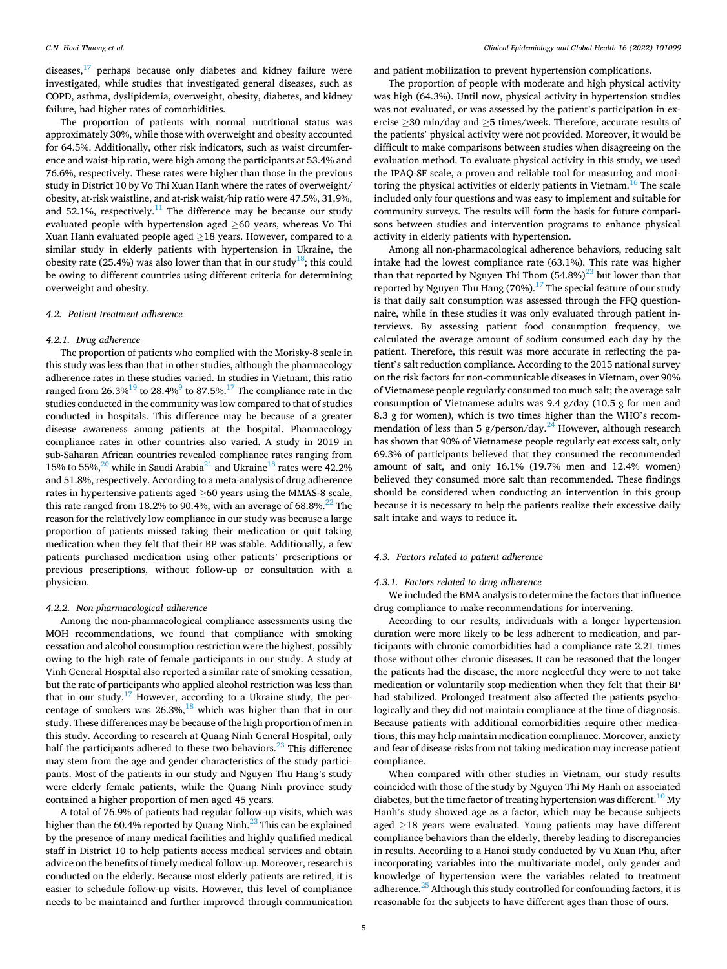## *C.N. Hoai Thuong et al.*

diseases, $17$  perhaps because only diabetes and kidney failure were investigated, while studies that investigated general diseases, such as COPD, asthma, dyslipidemia, overweight, obesity, diabetes, and kidney failure, had higher rates of comorbidities.

The proportion of patients with normal nutritional status was approximately 30%, while those with overweight and obesity accounted for 64.5%. Additionally, other risk indicators, such as waist circumference and waist-hip ratio, were high among the participants at 53.4% and 76.6%, respectively. These rates were higher than those in the previous study in District 10 by Vo Thi Xuan Hanh where the rates of overweight/ obesity, at-risk waistline, and at-risk waist/hip ratio were 47.5%, 31,9%, and 52.1%, respectively. $11$  The difference may be because our study evaluated people with hypertension aged ≥60 years, whereas Vo Thi Xuan Hanh evaluated people aged  $\geq$ 18 years. However, compared to a similar study in elderly patients with hypertension in Ukraine, the obesity rate (25.4%) was also lower than that in our study<sup>18</sup>; this could be owing to different countries using different criteria for determining overweight and obesity.

## *4.2. Patient treatment adherence*

#### *4.2.1. Drug adherence*

The proportion of patients who complied with the Morisky-8 scale in this study was less than that in other studies, although the pharmacology adherence rates in these studies varied. In studies in Vietnam, this ratio ranged from  $26.3\frac{19}{19}$  to  $28.4\frac{9}{19}$  to  $87.5\frac{17}{19}$  The compliance rate in the studies conducted in the community was low compared to that of studies conducted in hospitals. This difference may be because of a greater disease awareness among patients at the hospital. Pharmacology compliance rates in other countries also varied. A study in 2019 in sub-Saharan African countries revealed compliance rates ranging from 15% to 55%, $^{20}$  while in Saudi Arabia<sup>21</sup> and Ukraine<sup>18</sup> rates were 42.2% and 51.8%, respectively. According to a meta-analysis of drug adherence rates in hypertensive patients aged ≥60 years using the MMAS-8 scale, this rate ranged from 18.2% to 90.4%, with an average of  $68.8\%$ .<sup>22</sup> The reason for the relatively low compliance in our study was because a large proportion of patients missed taking their medication or quit taking medication when they felt that their BP was stable. Additionally, a few patients purchased medication using other patients' prescriptions or previous prescriptions, without follow-up or consultation with a physician.

# *4.2.2. Non-pharmacological adherence*

Among the non-pharmacological compliance assessments using the MOH recommendations, we found that compliance with smoking cessation and alcohol consumption restriction were the highest, possibly owing to the high rate of female participants in our study. A study at Vinh General Hospital also reported a similar rate of smoking cessation, but the rate of participants who applied alcohol restriction was less than that in our study.<sup>17</sup> However, according to a Ukraine study, the percentage of smokers was  $26.3\%,^{18}$  which was higher than that in our study. These differences may be because of the high proportion of men in this study. According to research at Quang Ninh General Hospital, only half the participants adhered to these two behaviors.<sup>23</sup> This difference may stem from the age and gender characteristics of the study participants. Most of the patients in our study and Nguyen Thu Hang's study were elderly female patients, while the Quang Ninh province study contained a higher proportion of men aged 45 years.

A total of 76.9% of patients had regular follow-up visits, which was higher than the 60.4% reported by Quang Ninh.<sup>23</sup> This can be explained by the presence of many medical facilities and highly qualified medical staff in District 10 to help patients access medical services and obtain advice on the benefits of timely medical follow-up. Moreover, research is conducted on the elderly. Because most elderly patients are retired, it is easier to schedule follow-up visits. However, this level of compliance needs to be maintained and further improved through communication

and patient mobilization to prevent hypertension complications.

The proportion of people with moderate and high physical activity was high (64.3%). Until now, physical activity in hypertension studies was not evaluated, or was assessed by the patient's participation in exercise ≥30 min/day and ≥5 times/week. Therefore, accurate results of the patients' physical activity were not provided. Moreover, it would be difficult to make comparisons between studies when disagreeing on the evaluation method. To evaluate physical activity in this study, we used the IPAQ-SF scale, a proven and reliable tool for measuring and monitoring the physical activities of elderly patients in Vietnam.<sup>16</sup> The scale included only four questions and was easy to implement and suitable for community surveys. The results will form the basis for future comparisons between studies and intervention programs to enhance physical activity in elderly patients with hypertension.

Among all non-pharmacological adherence behaviors, reducing salt intake had the lowest compliance rate (63.1%). This rate was higher than that reported by Nguyen Thi Thom  $(54.8\%)^{23}$  but lower than that reported by Nguyen Thu Hang  $(70\%)$ .<sup>17</sup> The special feature of our study is that daily salt consumption was assessed through the FFQ questionnaire, while in these studies it was only evaluated through patient interviews. By assessing patient food consumption frequency, we calculated the average amount of sodium consumed each day by the patient. Therefore, this result was more accurate in reflecting the patient's salt reduction compliance. According to the 2015 national survey on the risk factors for non-communicable diseases in Vietnam, over 90% of Vietnamese people regularly consumed too much salt; the average salt consumption of Vietnamese adults was 9.4 g/day (10.5 g for men and 8.3 g for women), which is two times higher than the WHO's recommendation of less than 5 g/person/day.<sup>24</sup> However, although research has shown that 90% of Vietnamese people regularly eat excess salt, only 69.3% of participants believed that they consumed the recommended amount of salt, and only 16.1% (19.7% men and 12.4% women) believed they consumed more salt than recommended. These findings should be considered when conducting an intervention in this group because it is necessary to help the patients realize their excessive daily salt intake and ways to reduce it.

## *4.3. Factors related to patient adherence*

## *4.3.1. Factors related to drug adherence*

We included the BMA analysis to determine the factors that influence drug compliance to make recommendations for intervening.

According to our results, individuals with a longer hypertension duration were more likely to be less adherent to medication, and participants with chronic comorbidities had a compliance rate 2.21 times those without other chronic diseases. It can be reasoned that the longer the patients had the disease, the more neglectful they were to not take medication or voluntarily stop medication when they felt that their BP had stabilized. Prolonged treatment also affected the patients psychologically and they did not maintain compliance at the time of diagnosis. Because patients with additional comorbidities require other medications, this may help maintain medication compliance. Moreover, anxiety and fear of disease risks from not taking medication may increase patient compliance.

When compared with other studies in Vietnam, our study results coincided with those of the study by Nguyen Thi My Hanh on associated diabetes, but the time factor of treating hypertension was different.<sup>10</sup> My Hanh's study showed age as a factor, which may be because subjects aged ≥18 years were evaluated. Young patients may have different compliance behaviors than the elderly, thereby leading to discrepancies in results. According to a Hanoi study conducted by Vu Xuan Phu, after incorporating variables into the multivariate model, only gender and knowledge of hypertension were the variables related to treatment adherence. $^{25}$  Although this study controlled for confounding factors, it is reasonable for the subjects to have different ages than those of ours.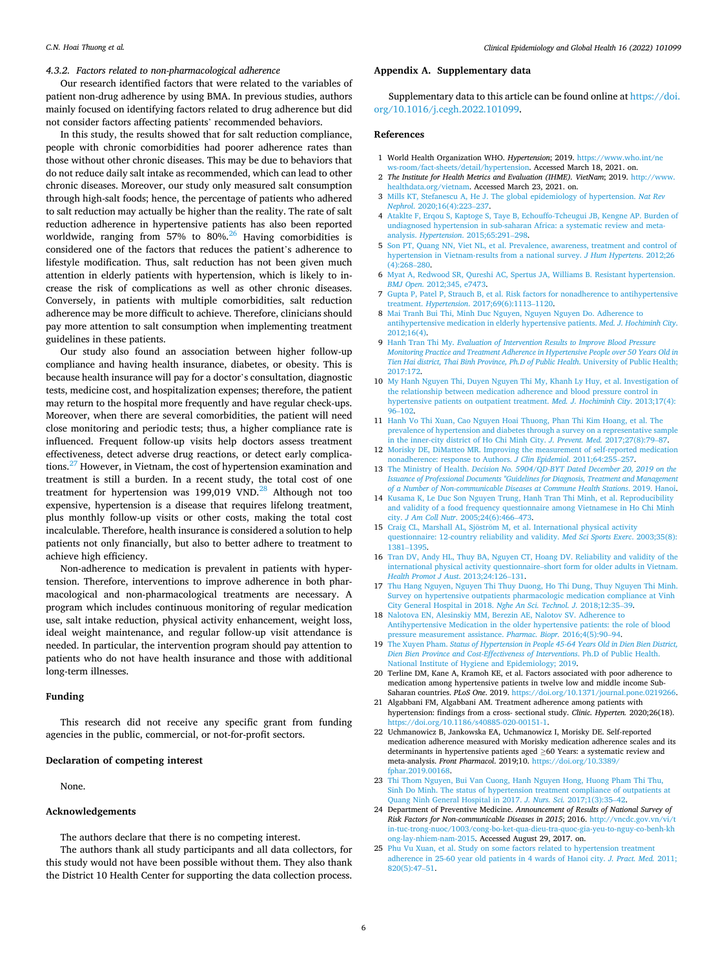# <span id="page-5-0"></span>*4.3.2. Factors related to non-pharmacological adherence*

Our research identified factors that were related to the variables of patient non-drug adherence by using BMA. In previous studies, authors mainly focused on identifying factors related to drug adherence but did not consider factors affecting patients' recommended behaviors.

In this study, the results showed that for salt reduction compliance, people with chronic comorbidities had poorer adherence rates than those without other chronic diseases. This may be due to behaviors that do not reduce daily salt intake as recommended, which can lead to other chronic diseases. Moreover, our study only measured salt consumption through high-salt foods; hence, the percentage of patients who adhered to salt reduction may actually be higher than the reality. The rate of salt reduction adherence in hypertensive patients has also been reported worldwide, ranging from 57% to 80%.<sup>26</sup> Having comorbidities is considered one of the factors that reduces the patient's adherence to lifestyle modification. Thus, salt reduction has not been given much attention in elderly patients with hypertension, which is likely to increase the risk of complications as well as other chronic diseases. Conversely, in patients with multiple comorbidities, salt reduction adherence may be more difficult to achieve. Therefore, clinicians should pay more attention to salt consumption when implementing treatment guidelines in these patients.

Our study also found an association between higher follow-up compliance and having health insurance, diabetes, or obesity. This is because health insurance will pay for a doctor's consultation, diagnostic tests, medicine cost, and hospitalization expenses; therefore, the patient may return to the hospital more frequently and have regular check-ups. Moreover, when there are several comorbidities, the patient will need close monitoring and periodic tests; thus, a higher compliance rate is influenced. Frequent follow-up visits help doctors assess treatment effectiveness, detect adverse drug reactions, or detect early complications.[27 However, in Vietnam, the cost of hypertension examination and](#page-6-0)  treatment is still a burden. In a recent study, the total cost of one treatment for hypertension was 199,019 VND. $^{28}$  Although not too expensive, hypertension is a disease that requires lifelong treatment, plus monthly follow-up visits or other costs, making the total cost incalculable. Therefore, health insurance is considered a solution to help patients not only financially, but also to better adhere to treatment to achieve high efficiency.

Non-adherence to medication is prevalent in patients with hypertension. Therefore, interventions to improve adherence in both pharmacological and non-pharmacological treatments are necessary. A program which includes continuous monitoring of regular medication use, salt intake reduction, physical activity enhancement, weight loss, ideal weight maintenance, and regular follow-up visit attendance is needed. In particular, the intervention program should pay attention to patients who do not have health insurance and those with additional long-term illnesses.

## **Funding**

This research did not receive any specific grant from funding agencies in the public, commercial, or not-for-profit sectors.

## **Declaration of competing interest**

None.

#### **Acknowledgements**

The authors declare that there is no competing interest.

The authors thank all study participants and all data collectors, for this study would not have been possible without them. They also thank the District 10 Health Center for supporting the data collection process.

## **Appendix A. Supplementary data**

Supplementary data to this article can be found online at [https://doi.](https://doi.org/10.1016/j.cegh.2022.101099)  [org/10.1016/j.cegh.2022.101099](https://doi.org/10.1016/j.cegh.2022.101099).

## **References**

- 1 World Health Organization WHO. *Hypertension*; 2019. [https://www.who.int/ne](https://www.who.int/news-room/fact-sheets/detail/hypertension) [ws-room/fact-sheets/detail/hypertension.](https://www.who.int/news-room/fact-sheets/detail/hypertension) Accessed March 18, 2021. on.
- 2 *The Institute for Health Metrics and Evaluation (IHME). VietNam*; 2019. [http://www.](http://www.healthdata.org/vietnam) [healthdata.org/vietnam.](http://www.healthdata.org/vietnam) Accessed March 23, 2021. on.
- 3 [Mills KT, Stefanescu A, He J. The global epidemiology of hypertension.](http://refhub.elsevier.com/S2213-3984(22)00141-5/sref3) *Nat Rev Nephrol*[. 2020;16\(4\):223](http://refhub.elsevier.com/S2213-3984(22)00141-5/sref3)–237.
- 4 [Ataklte F, Erqou S, Kaptoge S, Taye B, Echouffo-Tcheugui JB, Kengne AP. Burden of](http://refhub.elsevier.com/S2213-3984(22)00141-5/sref4)  [undiagnosed hypertension in sub-saharan Africa: a systematic review and meta](http://refhub.elsevier.com/S2213-3984(22)00141-5/sref4)analysis. *Hypertension*[. 2015;65:291](http://refhub.elsevier.com/S2213-3984(22)00141-5/sref4)–298.
- 5 [Son PT, Quang NN, Viet NL, et al. Prevalence, awareness, treatment and control of](http://refhub.elsevier.com/S2213-3984(22)00141-5/sref5)  [hypertension in Vietnam-results from a national survey.](http://refhub.elsevier.com/S2213-3984(22)00141-5/sref5) *J Hum Hypertens*. 2012;26 [\(4\):268](http://refhub.elsevier.com/S2213-3984(22)00141-5/sref5)–280.
- 6 [Myat A, Redwood SR, Qureshi AC, Spertus JA, Williams B. Resistant hypertension.](http://refhub.elsevier.com/S2213-3984(22)00141-5/sref6)  *BMJ Open*[. 2012;345, e7473](http://refhub.elsevier.com/S2213-3984(22)00141-5/sref6).
- 7 [Gupta P, Patel P, Strauch B, et al. Risk factors for nonadherence to antihypertensive](http://refhub.elsevier.com/S2213-3984(22)00141-5/sref7)  treatment. *Hypertension*[. 2017;69\(6\):1113](http://refhub.elsevier.com/S2213-3984(22)00141-5/sref7)–1120.
- 8 [Mai Tranh Bui Thi, Minh Duc Nguyen, Nguyen Nguyen Do. Adherence to](http://refhub.elsevier.com/S2213-3984(22)00141-5/sref8) [antihypertensive medication in elderly hypertensive patients.](http://refhub.elsevier.com/S2213-3984(22)00141-5/sref8) *Med. J. Hochiminh City*. [2012;16\(4\)](http://refhub.elsevier.com/S2213-3984(22)00141-5/sref8).
- 9 Hanh Tran Thi My. *[Evaluation of Intervention Results to Improve Blood Pressure](http://refhub.elsevier.com/S2213-3984(22)00141-5/sref9) [Monitoring Practice and Treatment Adherence in Hypertensive People over 50 Years Old in](http://refhub.elsevier.com/S2213-3984(22)00141-5/sref9)  [Tien Hai district, Thai Binh Province, Ph.D of Public Health](http://refhub.elsevier.com/S2213-3984(22)00141-5/sref9)*. University of Public Health; [2017:172](http://refhub.elsevier.com/S2213-3984(22)00141-5/sref9).
- 10 [My Hanh Nguyen Thi, Duyen Nguyen Thi My, Khanh Ly Huy, et al. Investigation of](http://refhub.elsevier.com/S2213-3984(22)00141-5/sref10)  [the relationship between medication adherence and blood pressure control in](http://refhub.elsevier.com/S2213-3984(22)00141-5/sref10) [hypertensive patients on outpatient treatment.](http://refhub.elsevier.com/S2213-3984(22)00141-5/sref10) *Med. J. Hochiminh City*. 2013;17(4): 96–[102.](http://refhub.elsevier.com/S2213-3984(22)00141-5/sref10)
- 11 [Hanh Vo Thi Xuan, Cao Nguyen Hoai Thuong, Phan Thi Kim Hoang, et al. The](http://refhub.elsevier.com/S2213-3984(22)00141-5/sref11) [prevalence of hypertension and diabetes through a survey on a representative sample](http://refhub.elsevier.com/S2213-3984(22)00141-5/sref11)  [in the inner-city district of Ho Chi Minh City.](http://refhub.elsevier.com/S2213-3984(22)00141-5/sref11) *J. Prevent. Med.* 2017;27(8):79–87.
- 12 [Morisky DE, DiMatteo MR. Improving the measurement of self-reported medication](http://refhub.elsevier.com/S2213-3984(22)00141-5/sref12)  [nonadherence: response to Authors.](http://refhub.elsevier.com/S2213-3984(22)00141-5/sref12) *J Clin Epidemiol*. 2011;64:255–257.
- 13 The Ministry of Health. *[Decision No. 5904/QD-BYT Dated December 20, 2019 on the](http://refhub.elsevier.com/S2213-3984(22)00141-5/sref13) [Issuance of Professional Documents "Guidelines for Diagnosis, Treatment and Management](http://refhub.elsevier.com/S2213-3984(22)00141-5/sref13)  [of a Number of Non-communicable Diseases at Commune Health Stations](http://refhub.elsevier.com/S2213-3984(22)00141-5/sref13)*. 2019. Hanoi.
- 14 [Kusama K, Le Duc Son Nguyen Trung, Hanh Tran Thi Minh, et al. Reproducibility](http://refhub.elsevier.com/S2213-3984(22)00141-5/sref14) [and validity of a food frequency questionnaire among Vietnamese in Ho Chi Minh](http://refhub.elsevier.com/S2213-3984(22)00141-5/sref14)  city. *J Am Coll Nutr*[. 2005;24\(6\):466](http://refhub.elsevier.com/S2213-3984(22)00141-5/sref14)–473.
- 15 Craig CL, Marshall AL, Sjöström M, et al. International physical activity [questionnaire: 12-country reliability and validity.](http://refhub.elsevier.com/S2213-3984(22)00141-5/sref15) *Med Sci Sports Exerc*. 2003;35(8): 1381–[1395.](http://refhub.elsevier.com/S2213-3984(22)00141-5/sref15)
- 16 [Tran DV, Andy HL, Thuy BA, Nguyen CT, Hoang DV. Reliability and validity of the](http://refhub.elsevier.com/S2213-3984(22)00141-5/sref16)  [international physical activity questionnaire](http://refhub.elsevier.com/S2213-3984(22)00141-5/sref16)–short form for older adults in Vietnam. *[Health Promot J Aust](http://refhub.elsevier.com/S2213-3984(22)00141-5/sref16)*. 2013;24:126–131.
- 17 [Thu Hang Nguyen, Nguyen Thi Thuy Duong, Ho Thi Dung, Thuy Nguyen Thi Minh.](http://refhub.elsevier.com/S2213-3984(22)00141-5/sref17)  [Survey on hypertensive outpatients pharmacologic medication compliance at Vinh](http://refhub.elsevier.com/S2213-3984(22)00141-5/sref17) [City General Hospital in 2018.](http://refhub.elsevier.com/S2213-3984(22)00141-5/sref17) *Nghe An Sci. Technol. J.* 2018;12:35–39.
- 18 [Nalotova EN, Alesinskiy MM, Berezin AE, Nalotov SV. Adherence to](http://refhub.elsevier.com/S2213-3984(22)00141-5/sref18) [Antihypertensive Medication in the older hypertensive patients: the role of blood](http://refhub.elsevier.com/S2213-3984(22)00141-5/sref18)  [pressure measurement assistance.](http://refhub.elsevier.com/S2213-3984(22)00141-5/sref18) *Pharmac. Biopr.* 2016;4(5):90–94.
- 19 The Xuyen Pham. *[Status of Hypertension in People 45-64 Years Old in Dien Bien District,](http://refhub.elsevier.com/S2213-3984(22)00141-5/sref19)  [Dien Bien Province and Cost-Effectiveness of Interventions](http://refhub.elsevier.com/S2213-3984(22)00141-5/sref19)*. Ph.D of Public Health. [National Institute of Hygiene and Epidemiology; 2019](http://refhub.elsevier.com/S2213-3984(22)00141-5/sref19).
- 20 Terline DM, Kane A, Kramoh KE, et al. Factors associated with poor adherence to medication among hypertensive patients in twelve low and middle income Sub-Saharan countries. *PLoS One*. 2019. [https://doi.org/10.1371/journal.pone.0219266.](https://doi.org/10.1371/journal.pone.0219266)
- 21 Algabbani FM, Algabbani AM. Treatment adherence among patients with hypertension: findings from a cross- sectional study. *Clinic. Hyperten.* 2020;26(18). <https://doi.org/10.1186/s40885-020-00151-1>.
- 22 Uchmanowicz B, Jankowska EA, Uchmanowicz I, Morisky DE. Self-reported medication adherence measured with Morisky medication adherence scales and its determinants in hypertensive patients aged ≥60 Years: a systematic review and meta-analysis. *Front Pharmacol*. 2019;10. [https://doi.org/10.3389/](https://doi.org/10.3389/fphar.2019.00168)  [fphar.2019.00168.](https://doi.org/10.3389/fphar.2019.00168)
- 23 [Thi Thom Nguyen, Bui Van Cuong, Hanh Nguyen Hong, Huong Pham Thi Thu,](http://refhub.elsevier.com/S2213-3984(22)00141-5/sref23)  [Sinh Do Minh. The status of hypertension treatment compliance of outpatients at](http://refhub.elsevier.com/S2213-3984(22)00141-5/sref23)  [Quang Ninh General Hospital in 2017.](http://refhub.elsevier.com/S2213-3984(22)00141-5/sref23) *J. Nurs. Sci.* 2017;1(3):35–42.
- 24 Department of Preventive Medicine. *Announcement of Results of National Survey of*  Risk Factors for Non-communicable Diseases in 2015; 2016. http://vncdc.gov.vn/vi/ [in-tuc-trong-nuoc/1003/cong-bo-ket-qua-dieu-tra-quoc-gia-yeu-to-nguy-co-benh-kh](http://vncdc.gov.vn/vi/tin-tuc-trong-nuoc/1003/cong-bo-ket-qua-dieu-tra-quoc-gia-yeu-to-nguy-co-benh-khong-lay-nhiem-nam-2015) [ong-lay-nhiem-nam-2015](http://vncdc.gov.vn/vi/tin-tuc-trong-nuoc/1003/cong-bo-ket-qua-dieu-tra-quoc-gia-yeu-to-nguy-co-benh-khong-lay-nhiem-nam-2015). Accessed August 29, 2017. on.
- 25 [Phu Vu Xuan, et al. Study on some factors related to hypertension treatment](http://refhub.elsevier.com/S2213-3984(22)00141-5/sref25)  [adherence in 25-60 year old patients in 4 wards of Hanoi city.](http://refhub.elsevier.com/S2213-3984(22)00141-5/sref25) *J. Pract. Med.* 2011; [820\(5\):47](http://refhub.elsevier.com/S2213-3984(22)00141-5/sref25)–51.